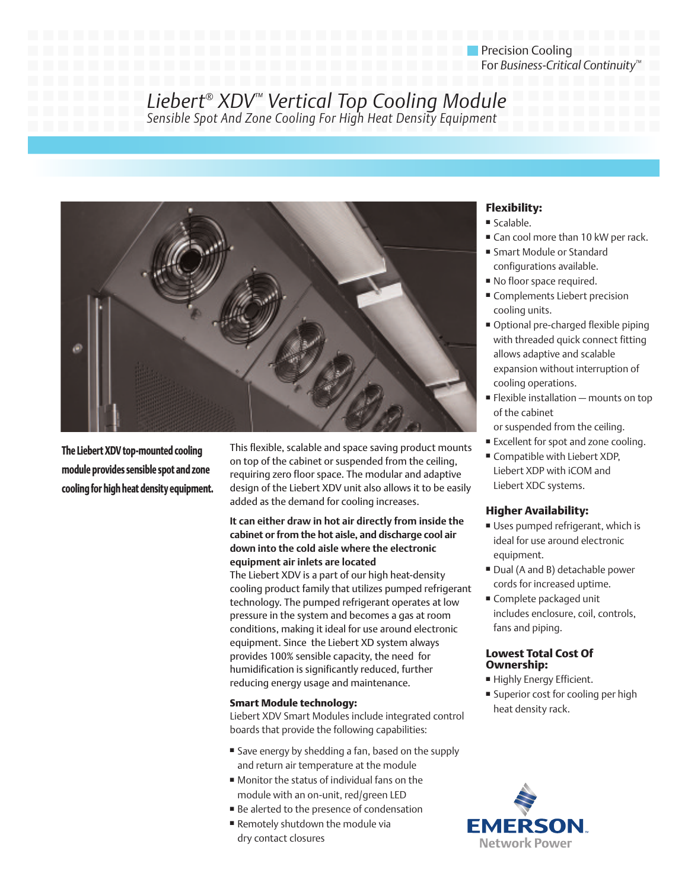# Precision Cooling For *Business-Critical Continuity™*

*Liebert® XDV™ Vertical Top Cooling Module Sensible Spot And Zone Cooling For High Heat Density Equipment*



**The Liebert XDV top-mounted cooling module provides sensible spot and zone cooling for high heat density equipment.** This flexible, scalable and space saving product mounts on top of the cabinet or suspended from the ceiling, requiring zero floor space. The modular and adaptive design of the Liebert XDV unit also allows it to be easily added as the demand for cooling increases.

### **It can either draw in hot air directly from inside the cabinet or from the hot aisle, and discharge cool air down into the cold aisle where the electronic equipment air inlets are located**

The Liebert XDV is a part of our high heat-density cooling product family that utilizes pumped refrigerant technology. The pumped refrigerant operates at low pressure in the system and becomes a gas at room conditions, making it ideal for use around electronic equipment. Since the Liebert XD system always provides 100% sensible capacity, the need for humidification is significantly reduced, further reducing energy usage and maintenance.

## **Smart Module technology:**

Liebert XDV Smart Modules include integrated control boards that provide the following capabilities:

- **■** Save energy by shedding a fan, based on the supply and return air temperature at the module
- Monitor the status of individual fans on the module with an on-unit, red/green LED
- Be alerted to the presence of condensation
- Remotely shutdown the module via dry contact closures

# **Flexibility:**

- **■** Scalable.
- Can cool more than 10 kW per rack.
- **■** Smart Module or Standard configurations available.
- **■** No floor space required.
- **■** Complements Liebert precision cooling units.
- Optional pre-charged flexible piping with threaded quick connect fitting allows adaptive and scalable expansion without interruption of cooling operations.
- Flexible installation mounts on top of the cabinet
- or suspended from the ceiling.
- **■** Excellent for spot and zone cooling.
- **■** Compatible with Liebert XDP, Liebert XDP with iCOM and Liebert XDC systems.

## **Higher Availability:**

- **■** Uses pumped refrigerant, which is ideal for use around electronic equipment.
- Dual (A and B) detachable power cords for increased uptime.
- **■** Complete packaged unit includes enclosure, coil, controls, fans and piping.

## **Lowest Total Cost Of Ownership:**

- **■** Highly Energy Efficient.
- Superior cost for cooling per high heat density rack.